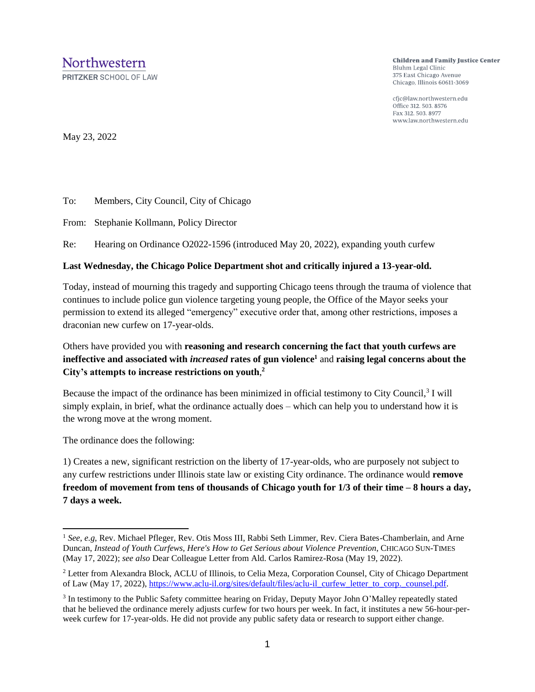**PRITZKER SCHOOL OF LAW** 

**Children and Family Justice Center** Bluhm Legal Clinic 375 East Chicago Avenue Chicago, Illinois 60611-3069

cfjc@law.northwestern.edu Office 312. 503. 8576 Fax 312, 503, 8977 www.law.northwestern.edu

May 23, 2022

To: Members, City Council, City of Chicago

From: Stephanie Kollmann, Policy Director

Re: Hearing on Ordinance O2022-1596 (introduced May 20, 2022), expanding youth curfew

## **Last Wednesday, the Chicago Police Department shot and critically injured a 13-year-old.**

Today, instead of mourning this tragedy and supporting Chicago teens through the trauma of violence that continues to include police gun violence targeting young people, the Office of the Mayor seeks your permission to extend its alleged "emergency" executive order that, among other restrictions, imposes a draconian new curfew on 17-year-olds.

Others have provided you with **reasoning and research concerning the fact that youth curfews are ineffective and associated with** *increased* **rates of gun violence<sup>1</sup>** and **raising legal concerns about the City's attempts to increase restrictions on youth**, **2**

Because the impact of the ordinance has been minimized in official testimony to City Council,<sup>3</sup> I will simply explain, in brief, what the ordinance actually does – which can help you to understand how it is the wrong move at the wrong moment.

The ordinance does the following:

1) Creates a new, significant restriction on the liberty of 17-year-olds, who are purposely not subject to any curfew restrictions under Illinois state law or existing City ordinance. The ordinance would **remove freedom of movement from tens of thousands of Chicago youth for 1/3 of their time – 8 hours a day, 7 days a week.** 

<sup>&</sup>lt;sup>1</sup> See, e.g, Rev. Michael Pfleger, Rev. Otis Moss III, Rabbi Seth Limmer, Rev. Ciera Bates-Chamberlain, and Arne Duncan, *Instead of Youth Curfews, Here's How to Get Serious about Violence Prevention*, CHICAGO SUN-TIMES (May 17, 2022); *see also* Dear Colleague Letter from Ald. Carlos Ramirez-Rosa (May 19, 2022).

<sup>2</sup> Letter from Alexandra Block, ACLU of Illinois, to Celia Meza, Corporation Counsel, City of Chicago Department of Law (May 17, 2022), [https://www.aclu-il.org/sites/default/files/aclu-il\\_curfew\\_letter\\_to\\_corp.\\_counsel.pdf.](https://www.aclu-il.org/sites/default/files/aclu-il_curfew_letter_to_corp._counsel.pdf)

<sup>&</sup>lt;sup>3</sup> In testimony to the Public Safety committee hearing on Friday, Deputy Mayor John O'Malley repeatedly stated that he believed the ordinance merely adjusts curfew for two hours per week. In fact, it institutes a new 56-hour-perweek curfew for 17-year-olds. He did not provide any public safety data or research to support either change.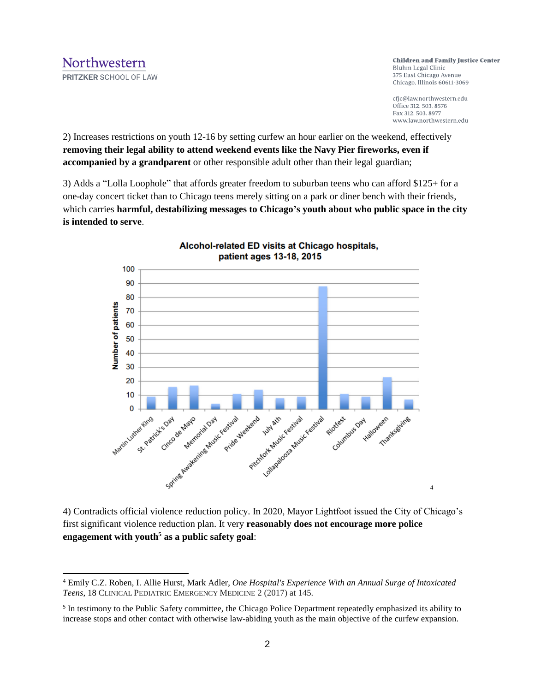**Children and Family Justice Center** Bluhm Legal Clinic 375 East Chicago Avenue Chicago, Illinois 60611-3069

cfjc@law.northwestern.edu Office 312. 503. 8576 Fax 312, 503, 8977 www.law.northwestern.edu

4

2) Increases restrictions on youth 12-16 by setting curfew an hour earlier on the weekend, effectively **removing their legal ability to attend weekend events like the Navy Pier fireworks, even if accompanied by a grandparent** or other responsible adult other than their legal guardian;

3) Adds a "Lolla Loophole" that affords greater freedom to suburban teens who can afford \$125+ for a one-day concert ticket than to Chicago teens merely sitting on a park or diner bench with their friends, which carries **harmful, destabilizing messages to Chicago's youth about who public space in the city is intended to serve**.



Alcohol-related ED visits at Chicago hospitals, patient ages 13-18, 2015

4) Contradicts official violence reduction policy. In 2020, Mayor Lightfoot issued the City of Chicago's first significant violence reduction plan. It very **reasonably does not encourage more police engagement with youth<sup>5</sup> as a public safety goal**:

<sup>4</sup> Emily C.Z. Roben, I. Allie Hurst, Mark Adler, *One Hospital's Experience With an Annual Surge of Intoxicated Teens*, 18 CLINICAL PEDIATRIC EMERGENCY MEDICINE 2 (2017) at 145.

<sup>&</sup>lt;sup>5</sup> In testimony to the Public Safety committee, the Chicago Police Department repeatedly emphasized its ability to increase stops and other contact with otherwise law-abiding youth as the main objective of the curfew expansion.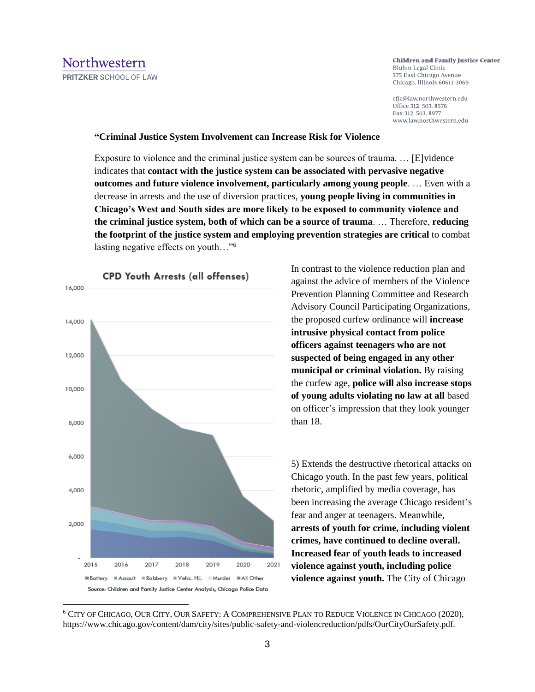## **Children and Family Justice Center** Bluhm Legal Clinic 375 East Chicago Avenue Chicago, Illinois 60611-3069

cfjc@law.northwestern.edu Office 312. 503. 8576 Fax 312, 503, 8977 www.law.northwestern.edu

## **"Criminal Justice System Involvement can Increase Risk for Violence**

Exposure to violence and the criminal justice system can be sources of trauma. … [E]vidence indicates that **contact with the justice system can be associated with pervasive negative outcomes and future violence involvement, particularly among young people**. … Even with a decrease in arrests and the use of diversion practices, **young people living in communities in Chicago's West and South sides are more likely to be exposed to community violence and the criminal justice system, both of which can be a source of trauma**. … Therefore, **reducing the footprint of the justice system and employing prevention strategies are critical** to combat lasting negative effects on youth…"<sup>6</sup>



In contrast to the violence reduction plan and against the advice of members of the Violence Prevention Planning Committee and Research Advisory Council Participating Organizations, the proposed curfew ordinance will **increase intrusive physical contact from police officers against teenagers who are not suspected of being engaged in any other municipal or criminal violation.** By raising the curfew age, **police will also increase stops of young adults violating no law at all** based on officer's impression that they look younger than 18.

5) Extends the destructive rhetorical attacks on Chicago youth. In the past few years, political rhetoric, amplified by media coverage, has been increasing the average Chicago resident's fear and anger at teenagers. Meanwhile, **arrests of youth for crime, including violent crimes, have continued to decline overall. Increased fear of youth leads to increased violence against youth, including police violence against youth.** The City of Chicago

<sup>6</sup> CITY OF CHICAGO, OUR CITY, OUR SAFETY: A COMPREHENSIVE PLAN TO REDUCE VIOLENCE IN CHICAGO (2020), https://www.chicago.gov/content/dam/city/sites/public-safety-and-violencreduction/pdfs/OurCityOurSafety.pdf.